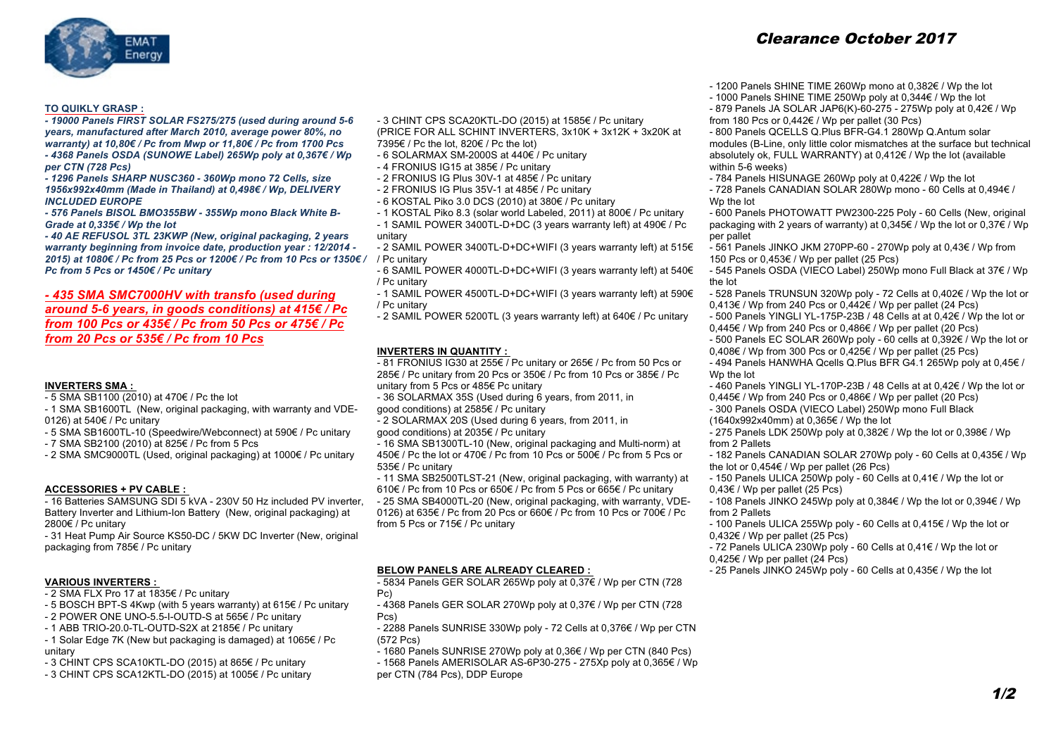

# **TO QUIKLY GRASP :**

*- 19000 Panels FIRST SOLAR FS275/275 (used during around 5-6 years, manufactured after March 2010, average power 80%, no warranty) at 10,80€ / Pc from Mwp or 11,80€ / Pc from 1700 Pcs - 4368 Panels OSDA (SUNOWE Label) 265Wp poly at 0,367€ / Wp per CTN (728 Pcs)*

*- 1296 Panels SHARP NUSC360 - 360Wp mono 72 Cells, size 1956x992x40mm (Made in Thailand) at 0,498€ / Wp, DELIVERY INCLUDED EUROPE* 

*- 576 Panels BISOL BMO355BW - 355Wp mono Black White B-Grade at 0,335€ / Wp the lot*

*- 40 AE REFUSOL 3TL 23KWP (New, original packaging, 2 years warranty beginning from invoice date, production year : 12/2014 - 2015) at 1080€ / Pc from 25 Pcs or 1200€ / Pc from 10 Pcs or 1350€ /*  / Pc unitary *Pc from 5 Pcs or 1450€ / Pc unitary*

# *- 435 SMA SMC7000HV with transfo (used during around 5-6 years, in goods conditions) at 415€ / Pc from 100 Pcs or 435€ / Pc from 50 Pcs or 475€ / Pc from 20 Pcs or 535€ / Pc from 10 Pcs*

### **INVERTERS SMA :**

- 5 SMA SB1100 (2010) at 470€ / Pc the lot

- 1 SMA SB1600TL (New, original packaging, with warranty and VDE-0126) at 540€ / Pc unitary

- 5 SMA SB1600TL-10 (Speedwire/Webconnect) at 590€ / Pc unitary
- 7 SMA SB2100 (2010) at 825€ / Pc from 5 Pcs
- 2 SMA SMC9000TL (Used, original packaging) at 1000€ / Pc unitary

### **ACCESSORIES + PV CABLE :**

- 16 Batteries SAMSUNG SDI 5 kVA - 230V 50 Hz included PV inverter, Battery Inverter and Lithium-Ion Battery (New, original packaging) at 2800€ / Pc unitary

- 31 Heat Pump Air Source KS50-DC / 5KW DC Inverter (New, original packaging from 785€ / Pc unitary

# **VARIOUS INVERTERS :**

- 2 SMA FLX Pro 17 at 1835€ / Pc unitary

- 5 BOSCH BPT-S 4Kwp (with 5 years warranty) at 615€ / Pc unitary
- 2 POWER ONE UNO-5.5-I-OUTD-S at 565€ / Pc unitary
- 1 ABB TRIO-20.0-TL-OUTD-S2X at 2185€ / Pc unitary
- 1 Solar Edge 7K (New but packaging is damaged) at 1065€ / Pc unitary
- 3 CHINT CPS SCA10KTL-DO (2015) at 865€ / Pc unitary
- 3 CHINT CPS SCA12KTL-DO (2015) at 1005€ / Pc unitary

- 3 CHINT CPS SCA20KTL-DO (2015) at 1585€ / Pc unitary

(PRICE FOR ALL SCHINT INVERTERS, 3x10K + 3x12K + 3x20K at 7395€ / Pc the lot, 820€ / Pc the lot)

- 6 SOLARMAX SM-2000S at 440€ / Pc unitary
- 4 FRONIUS IG15 at 385€ / Pc unitary
- 2 FRONIUS IG Plus 30V-1 at 485€ / Pc unitary
- 2 FRONIUS IG Plus 35V-1 at 485€ / Pc unitary
- 6 KOSTAL Piko 3.0 DCS (2010) at 380€ / Pc unitary
- 1 KOSTAL Piko 8.3 (solar world Labeled, 2011) at 800€ / Pc unitary
- 1 SAMIL POWER 3400TL-D+DC (3 years warranty left) at 490€ / Pc unitary
- 2 SAMIL POWER 3400TL-D+DC+WIFI (3 years warranty left) at 515€
- 6 SAMIL POWER 4000TL-D+DC+WIFI (3 years warranty left) at 540€ / Pc unitary
- 1 SAMIL POWER 4500TL-D+DC+WIFI (3 years warranty left) at 590€ / Pc unitary
- 2 SAMIL POWER 5200TL (3 years warranty left) at 640€ / Pc unitary

### **INVERTERS IN QUANTITY :**

 $-81$  FRONIUS IG30 at 255€ / Pc unitary or 265€ / Pc from 50 Pcs or 285€ / Pc unitary from 20 Pcs or 350€ / Pc from 10 Pcs or 385€ / Pc unitary from 5 Pcs or 485€ Pc unitary

- 36 SOLARMAX 35S (Used during 6 years, from 2011, in good conditions) at 2585€ / Pc unitary
- 2 SOLARMAX 20S (Used during 6 years, from 2011, in
- good conditions) at 2035€ / Pc unitary
- 16 SMA SB1300TL-10 (New, original packaging and Multi-norm) at 450€ / Pc the lot or 470€ / Pc from 10 Pcs or 500€ / Pc from 5 Pcs or 535€ / Pc unitary
- 11 SMA SB2500TLST-21 (New, original packaging, with warranty) at 610€ / Pc from 10 Pcs or 650€ / Pc from 5 Pcs or 665€ / Pc unitary
- 25 SMA SB4000TL-20 (New, original packaging, with warranty, VDE-0126) at 635€ / Pc from 20 Pcs or 660€ / Pc from 10 Pcs or 700€ / Pc from 5 Pcs or 715€ / Pc unitary

### **BELOW PANELS ARE ALREADY CLEARED :**

- 5834 Panels GER SOLAR 265Wp poly at 0,37€ / Wp per CTN (728 Pc)
- 4368 Panels GER SOLAR 270Wp poly at 0,37€ / Wp per CTN (728 Pcs)
- 2288 Panels SUNRISE 330Wp poly 72 Cells at 0,376€ / Wp per CTN (572 Pcs)
- $-$  1680 Panels SUNRISE 270Wp poly at 0,36 $\epsilon$  / Wp per CTN (840 Pcs)
- 1568 Panels AMERISOLAR AS-6P30-275 275Xp poly at 0,365€ / Wp
- per CTN (784 Pcs), DDP Europe

# Clearance October 2017

- 1200 Panels SHINE TIME 260Wp mono at 0,382€ / Wp the lot
- 1000 Panels SHINE TIME 250Wp poly at 0,344€ / Wp the lot
- 879 Panels JA SOLAR JAP6(K)-60-275 275Wp poly at 0,42€ / Wp from 180 Pcs or  $0.442 \in$  / Wp per pallet (30 Pcs)

- 800 Panels QCELLS Q.Plus BFR-G4.1 280Wp Q.Antum solar modules (B-Line, only little color mismatches at the surface but technical absolutely ok, FULL WARRANTY) at 0,412€ / Wp the lot (available within 5-6 weeks)

- 784 Panels HISUNAGE 260Wp poly at 0,422€ / Wp the lot
- 728 Panels CANADIAN SOLAR 280Wp mono 60 Cells at 0,494€ / Wp the lot

- 600 Panels PHOTOWATT PW2300-225 Poly - 60 Cells (New, original packaging with 2 years of warranty) at 0,345€ / Wp the lot or 0,37€ / Wp per pallet

- 561 Panels JINKO JKM 270PP-60 270Wp poly at 0,43€ / Wp from 150 Pcs or 0,453€ / Wp per pallet (25 Pcs)
- 545 Panels OSDA (VIECO Label) 250Wp mono Full Black at 37€ / Wp the lot
- 528 Panels TRUNSUN 320Wp poly 72 Cells at 0,402€ / Wp the lot or 0.413€ / Wp from 240 Pcs or  $0.442 \text{€}$  / Wp per pallet (24 Pcs)
- 500 Panels YINGLI YL-175P-23B / 48 Cells at at 0,42€ / Wp the lot or 0,445€ / Wp from 240 Pcs or 0,486€ / Wp per pallet (20 Pcs)
- 500 Panels EC SOLAR 260Wp poly 60 cells at 0,392€ / Wp the lot or 0,408€ / Wp from 300 Pcs or 0,425€ / Wp per pallet (25 Pcs)
- 494 Panels HANWHA Qcells Q.Plus BFR G4.1 265Wp poly at 0,45€ / Wp the lot
- 460 Panels YINGLI YL-170P-23B / 48 Cells at at 0,42€ / Wp the lot or 0,445€ / Wp from 240 Pcs or 0,486€ / Wp per pallet (20 Pcs)
- 300 Panels OSDA (VIECO Label) 250Wp mono Full Black
- (1640x992x40mm) at 0,365€ / Wp the lot
- 275 Panels LDK 250Wp poly at 0,382€ / Wp the lot or 0,398€ / Wp from 2 Pallets
- 182 Panels CANADIAN SOLAR 270Wp poly 60 Cells at 0,435€ / Wp the lot or 0,454€ / Wp per pallet (26 Pcs)
- 150 Panels ULICA 250Wp poly 60 Cells at 0,41€ / Wp the lot or 0,43€ / Wp per pallet (25 Pcs)
- 108 Panels JINKO 245Wp poly at 0,384€ / Wp the lot or 0,394€ / Wp from 2 Pallets
- 100 Panels ULICA 255Wp poly 60 Cells at 0,415€ / Wp the lot or 0,432€ / Wp per pallet (25 Pcs)
- 72 Panels ULICA 230Wp poly 60 Cells at 0,41€ / Wp the lot or 0,425€ / Wp per pallet (24 Pcs)
- 25 Panels JINKO 245Wp poly 60 Cells at 0,435€ / Wp the lot